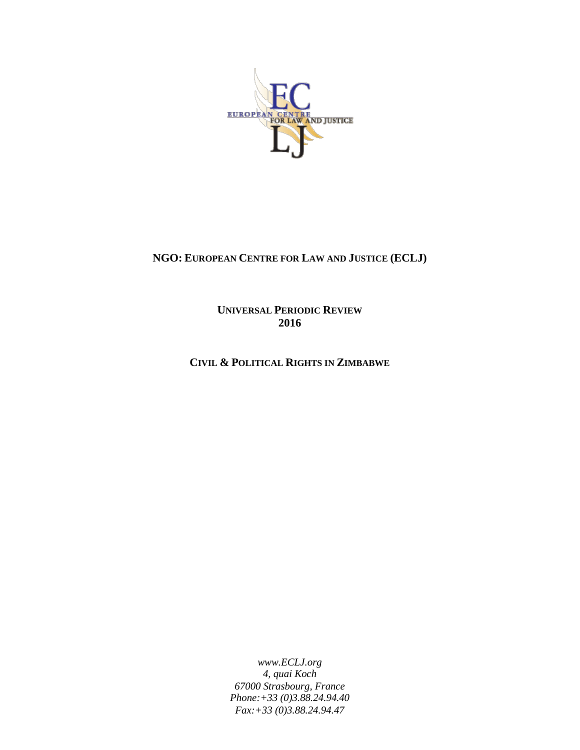

# **NGO: EUROPEAN CENTRE FOR LAW AND JUSTICE (ECLJ)**

**UNIVERSAL PERIODIC REVIEW 2016**

**CIVIL & POLITICAL RIGHTS IN ZIMBABWE**

*www.ECLJ.org 4, quai Koch 67000 Strasbourg, France Phone:+33 (0)3.88.24.94.40 Fax:+33 (0)3.88.24.94.47*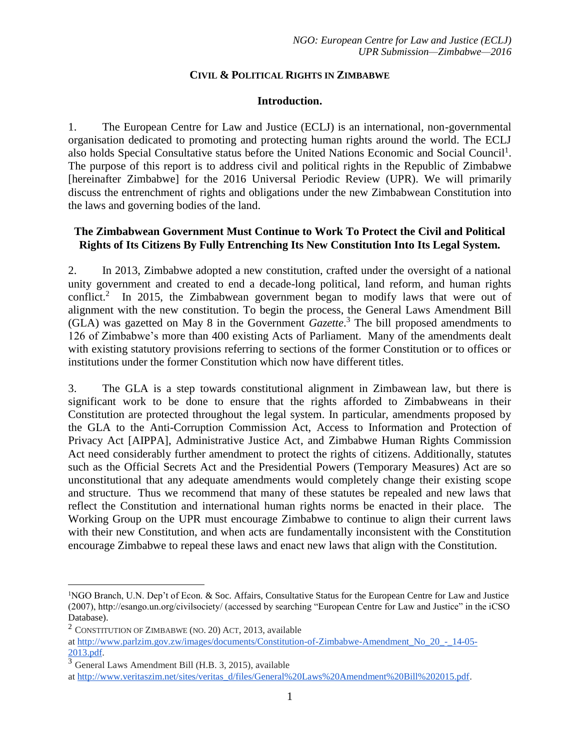## **CIVIL & POLITICAL RIGHTS IN ZIMBABWE**

### **Introduction.**

1. The European Centre for Law and Justice (ECLJ) is an international, non-governmental organisation dedicated to promoting and protecting human rights around the world. The ECLJ also holds Special Consultative status before the United Nations Economic and Social Council<sup>1</sup>. The purpose of this report is to address civil and political rights in the Republic of Zimbabwe [hereinafter Zimbabwe] for the 2016 Universal Periodic Review (UPR). We will primarily discuss the entrenchment of rights and obligations under the new Zimbabwean Constitution into the laws and governing bodies of the land.

### **The Zimbabwean Government Must Continue to Work To Protect the Civil and Political Rights of Its Citizens By Fully Entrenching Its New Constitution Into Its Legal System.**

2. In 2013, Zimbabwe adopted a new constitution, crafted under the oversight of a national unity government and created to end a decade-long political, land reform, and human rights conflict.<sup>2</sup> In 2015, the Zimbabwean government began to modify laws that were out of alignment with the new constitution. To begin the process, the General Laws Amendment Bill (GLA) was gazetted on May 8 in the Government *Gazette*. <sup>3</sup> The bill proposed amendments to 126 of Zimbabwe's more than 400 existing Acts of Parliament. Many of the amendments dealt with existing statutory provisions referring to sections of the former Constitution or to offices or institutions under the former Constitution which now have different titles.

3. The GLA is a step towards constitutional alignment in Zimbawean law, but there is significant work to be done to ensure that the rights afforded to Zimbabweans in their Constitution are protected throughout the legal system. In particular, amendments proposed by the GLA to the Anti-Corruption Commission Act, Access to Information and Protection of Privacy Act [AIPPA], Administrative Justice Act, and Zimbabwe Human Rights Commission Act need considerably further amendment to protect the rights of citizens. Additionally, statutes such as the Official Secrets Act and the Presidential Powers (Temporary Measures) Act are so unconstitutional that any adequate amendments would completely change their existing scope and structure. Thus we recommend that many of these statutes be repealed and new laws that reflect the Constitution and international human rights norms be enacted in their place. The Working Group on the UPR must encourage Zimbabwe to continue to align their current laws with their new Constitution, and when acts are fundamentally inconsistent with the Constitution encourage Zimbabwe to repeal these laws and enact new laws that align with the Constitution.

 $\overline{a}$ 

<sup>&</sup>lt;sup>1</sup>NGO Branch, U.N. Dep't of Econ. & Soc. Affairs, Consultative Status for the European Centre for Law and Justice (2007), http://esango.un.org/civilsociety/ (accessed by searching "European Centre for Law and Justice" in the iCSO Database).

<sup>2</sup> CONSTITUTION OF ZIMBABWE (NO. 20) ACT, 2013, available

at [http://www.parlzim.gov.zw/images/documents/Constitution-of-Zimbabwe-Amendment\\_No\\_20\\_-\\_14-05-](http://www.parlzim.gov.zw/images/documents/Constitution-of-Zimbabwe-Amendment_No_20_-_14-05-2013.pdf) [2013.pdf.](http://www.parlzim.gov.zw/images/documents/Constitution-of-Zimbabwe-Amendment_No_20_-_14-05-2013.pdf)

<sup>3</sup> General Laws Amendment Bill (H.B. 3, 2015), available

at [http://www.veritaszim.net/sites/veritas\\_d/files/General%20Laws%20Amendment%20Bill%202015.pdf.](http://www.veritaszim.net/sites/veritas_d/files/General%20Laws%20Amendment%20Bill%202015.pdf)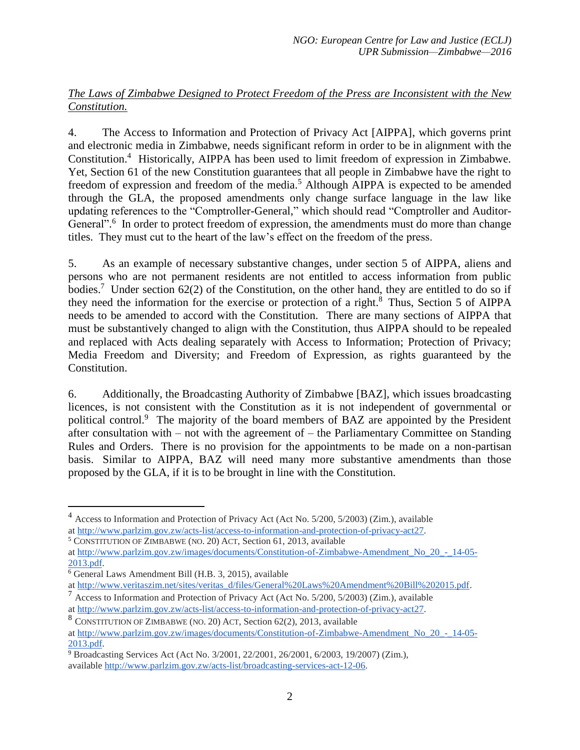# *The Laws of Zimbabwe Designed to Protect Freedom of the Press are Inconsistent with the New Constitution.*

4. The Access to Information and Protection of Privacy Act [AIPPA], which governs print and electronic media in Zimbabwe, needs significant reform in order to be in alignment with the Constitution.<sup>4</sup> Historically, AIPPA has been used to limit freedom of expression in Zimbabwe. Yet, Section 61 of the new Constitution guarantees that all people in Zimbabwe have the right to freedom of expression and freedom of the media.<sup>5</sup> Although AIPPA is expected to be amended through the GLA, the proposed amendments only change surface language in the law like updating references to the "Comptroller-General," which should read "Comptroller and Auditor-General".<sup>6</sup> In order to protect freedom of expression, the amendments must do more than change titles. They must cut to the heart of the law's effect on the freedom of the press.

5. As an example of necessary substantive changes, under section 5 of AIPPA, aliens and persons who are not permanent residents are not entitled to access information from public bodies.<sup>7</sup> Under section 62(2) of the Constitution, on the other hand, they are entitled to do so if they need the information for the exercise or protection of a right.<sup>8</sup> Thus, Section 5 of AIPPA needs to be amended to accord with the Constitution. There are many sections of AIPPA that must be substantively changed to align with the Constitution, thus AIPPA should to be repealed and replaced with Acts dealing separately with Access to Information; Protection of Privacy; Media Freedom and Diversity; and Freedom of Expression, as rights guaranteed by the Constitution.

6. Additionally, the Broadcasting Authority of Zimbabwe [BAZ], which issues broadcasting licences, is not consistent with the Constitution as it is not independent of governmental or political control.<sup>9</sup> The majority of the board members of BAZ are appointed by the President after consultation with  $-$  not with the agreement of  $-$  the Parliamentary Committee on Standing Rules and Orders. There is no provision for the appointments to be made on a non-partisan basis. Similar to AIPPA, BAZ will need many more substantive amendments than those proposed by the GLA, if it is to be brought in line with the Constitution.

 $\overline{a}$ 

<sup>4</sup> Access to Information and Protection of Privacy Act (Act No. 5/200, 5/2003) (Zim.), available at [http://www.parlzim.gov.zw/acts-list/access-to-information-and-protection-of-privacy-act27.](http://www.parlzim.gov.zw/acts-list/access-to-information-and-protection-of-privacy-act27)

<sup>5</sup> CONSTITUTION OF ZIMBABWE (NO. 20) ACT, Section 61, 2013, available

at [http://www.parlzim.gov.zw/images/documents/Constitution-of-Zimbabwe-Amendment\\_No\\_20\\_-\\_14-05-](http://www.parlzim.gov.zw/images/documents/Constitution-of-Zimbabwe-Amendment_No_20_-_14-05-2013.pdf) [2013.pdf.](http://www.parlzim.gov.zw/images/documents/Constitution-of-Zimbabwe-Amendment_No_20_-_14-05-2013.pdf)

 $\overline{6}$  General Laws Amendment Bill (H.B. 3, 2015), available

at [http://www.veritaszim.net/sites/veritas\\_d/files/General%20Laws%20Amendment%20Bill%202015.pdf.](http://www.veritaszim.net/sites/veritas_d/files/General%20Laws%20Amendment%20Bill%202015.pdf)

 $^7$  Access to Information and Protection of Privacy Act (Act No. 5/200, 5/2003) (Zim.), available

at [http://www.parlzim.gov.zw/acts-list/access-to-information-and-protection-of-privacy-act27.](http://www.parlzim.gov.zw/acts-list/access-to-information-and-protection-of-privacy-act27)

<sup>8</sup> CONSTITUTION OF ZIMBABWE (NO. 20) ACT, Section 62(2), 2013, available

at [http://www.parlzim.gov.zw/images/documents/Constitution-of-Zimbabwe-Amendment\\_No\\_20\\_-\\_14-05-](http://www.parlzim.gov.zw/images/documents/Constitution-of-Zimbabwe-Amendment_No_20_-_14-05-2013.pdf) [2013.pdf.](http://www.parlzim.gov.zw/images/documents/Constitution-of-Zimbabwe-Amendment_No_20_-_14-05-2013.pdf)

<sup>&</sup>lt;sup>9</sup> Broadcasting Services Act (Act No. 3/2001, 22/2001, 26/2001, 6/2003, 19/2007) (Zim.), available [http://www.parlzim.gov.zw/acts-list/broadcasting-services-act-12-06.](http://www.parlzim.gov.zw/acts-list/broadcasting-services-act-12-06)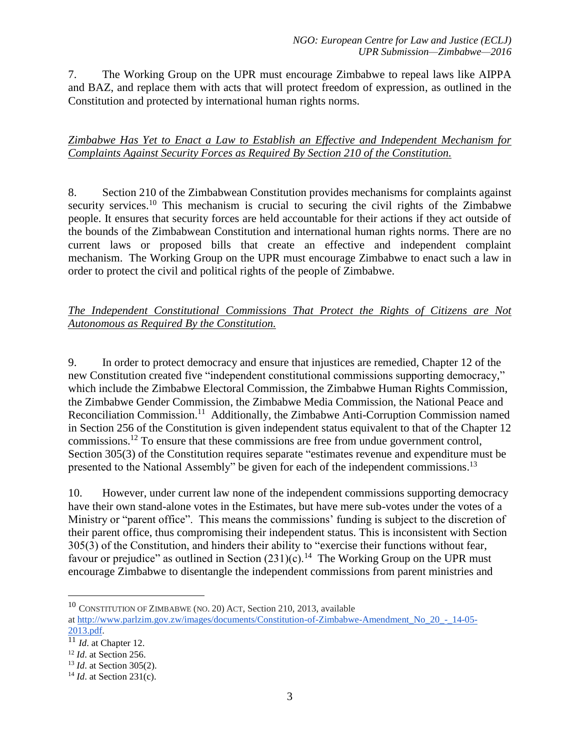7. The Working Group on the UPR must encourage Zimbabwe to repeal laws like AIPPA and BAZ, and replace them with acts that will protect freedom of expression, as outlined in the Constitution and protected by international human rights norms.

# *Zimbabwe Has Yet to Enact a Law to Establish an Effective and Independent Mechanism for Complaints Against Security Forces as Required By Section 210 of the Constitution.*

8. Section 210 of the Zimbabwean Constitution provides mechanisms for complaints against security services.<sup>10</sup> This mechanism is crucial to securing the civil rights of the Zimbabwe people. It ensures that security forces are held accountable for their actions if they act outside of the bounds of the Zimbabwean Constitution and international human rights norms. There are no current laws or proposed bills that create an effective and independent complaint mechanism. The Working Group on the UPR must encourage Zimbabwe to enact such a law in order to protect the civil and political rights of the people of Zimbabwe.

# *The Independent Constitutional Commissions That Protect the Rights of Citizens are Not Autonomous as Required By the Constitution.*

9. In order to protect democracy and ensure that injustices are remedied, Chapter 12 of the new Constitution created five "independent constitutional commissions supporting democracy," which include the Zimbabwe Electoral Commission, the Zimbabwe Human Rights Commission, the Zimbabwe Gender Commission, the Zimbabwe Media Commission, the National Peace and Reconciliation Commission.<sup>11</sup> Additionally, the Zimbabwe Anti-Corruption Commission named in Section 256 of the Constitution is given independent status equivalent to that of the Chapter 12 commissions.<sup>12</sup> To ensure that these commissions are free from undue government control, Section 305(3) of the Constitution requires separate "estimates revenue and expenditure must be presented to the National Assembly" be given for each of the independent commissions.<sup>13</sup>

10. However, under current law none of the independent commissions supporting democracy have their own stand-alone votes in the Estimates, but have mere sub-votes under the votes of a Ministry or "parent office". This means the commissions' funding is subject to the discretion of their parent office, thus compromising their independent status. This is inconsistent with Section 305(3) of the Constitution, and hinders their ability to "exercise their functions without fear, favour or prejudice" as outlined in Section  $(231)(c)$ .<sup>14</sup> The Working Group on the UPR must encourage Zimbabwe to disentangle the independent commissions from parent ministries and

 $\overline{a}$ 

<sup>10</sup> CONSTITUTION OF ZIMBABWE (NO. 20) ACT, Section 210, 2013, available

at [http://www.parlzim.gov.zw/images/documents/Constitution-of-Zimbabwe-Amendment\\_No\\_20\\_-\\_14-05-](http://www.parlzim.gov.zw/images/documents/Constitution-of-Zimbabwe-Amendment_No_20_-_14-05-2013.pdf) [2013.pdf.](http://www.parlzim.gov.zw/images/documents/Constitution-of-Zimbabwe-Amendment_No_20_-_14-05-2013.pdf)

 $\overline{11}_{Id.}$  at Chapter 12.

<sup>12</sup> *Id*. at Section 256.

<sup>13</sup> *Id*. at Section 305(2).

<sup>14</sup> *Id*. at Section 231(c).